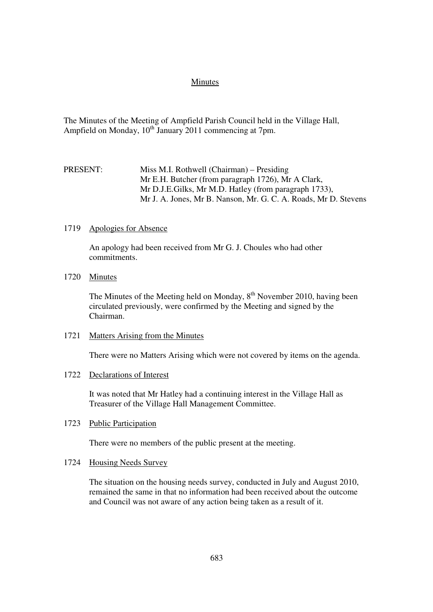### Minutes

The Minutes of the Meeting of Ampfield Parish Council held in the Village Hall, Ampfield on Monday,  $10^{th}$  January 2011 commencing at 7pm.

## PRESENT: Miss M.I. Rothwell (Chairman) – Presiding Mr E.H. Butcher (from paragraph 1726), Mr A Clark, Mr D.J.E.Gilks, Mr M.D. Hatley (from paragraph 1733), Mr J. A. Jones, Mr B. Nanson, Mr. G. C. A. Roads, Mr D. Stevens

#### 1719 Apologies for Absence

An apology had been received from Mr G. J. Choules who had other commitments.

### 1720 Minutes

The Minutes of the Meeting held on Monday,  $8<sup>th</sup>$  November 2010, having been circulated previously, were confirmed by the Meeting and signed by the Chairman.

#### 1721 Matters Arising from the Minutes

There were no Matters Arising which were not covered by items on the agenda.

## 1722 Declarations of Interest

It was noted that Mr Hatley had a continuing interest in the Village Hall as Treasurer of the Village Hall Management Committee.

## 1723 Public Participation

There were no members of the public present at the meeting.

#### 1724 Housing Needs Survey

The situation on the housing needs survey, conducted in July and August 2010, remained the same in that no information had been received about the outcome and Council was not aware of any action being taken as a result of it.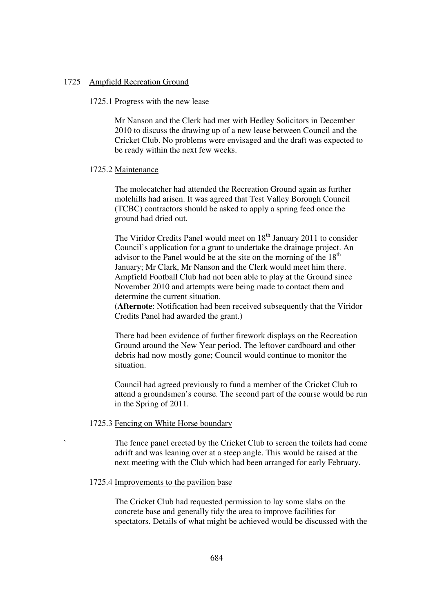#### 1725 Ampfield Recreation Ground

### 1725.1 Progress with the new lease

Mr Nanson and the Clerk had met with Hedley Solicitors in December 2010 to discuss the drawing up of a new lease between Council and the Cricket Club. No problems were envisaged and the draft was expected to be ready within the next few weeks.

#### 1725.2 Maintenance

The molecatcher had attended the Recreation Ground again as further molehills had arisen. It was agreed that Test Valley Borough Council (TCBC) contractors should be asked to apply a spring feed once the ground had dried out.

The Viridor Credits Panel would meet on  $18<sup>th</sup>$  January 2011 to consider Council's application for a grant to undertake the drainage project. An advisor to the Panel would be at the site on the morning of the  $18<sup>th</sup>$ January; Mr Clark, Mr Nanson and the Clerk would meet him there. Ampfield Football Club had not been able to play at the Ground since November 2010 and attempts were being made to contact them and determine the current situation.

(**Afternote**: Notification had been received subsequently that the Viridor Credits Panel had awarded the grant.)

There had been evidence of further firework displays on the Recreation Ground around the New Year period. The leftover cardboard and other debris had now mostly gone; Council would continue to monitor the situation.

Council had agreed previously to fund a member of the Cricket Club to attend a groundsmen's course. The second part of the course would be run in the Spring of 2011.

## 1725.3 Fencing on White Horse boundary

The fence panel erected by the Cricket Club to screen the toilets had come adrift and was leaning over at a steep angle. This would be raised at the next meeting with the Club which had been arranged for early February.

### 1725.4 Improvements to the pavilion base

The Cricket Club had requested permission to lay some slabs on the concrete base and generally tidy the area to improve facilities for spectators. Details of what might be achieved would be discussed with the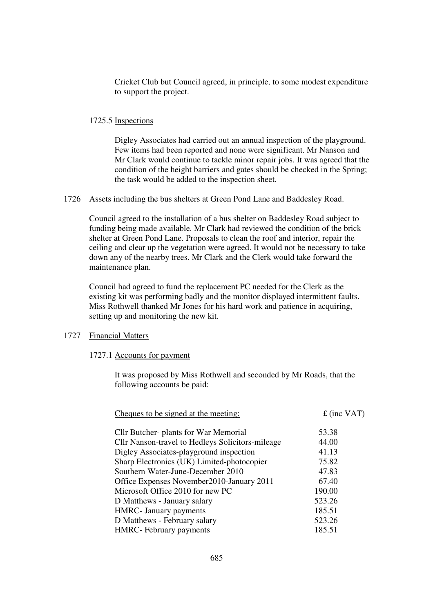Cricket Club but Council agreed, in principle, to some modest expenditure to support the project.

#### 1725.5 Inspections

Digley Associates had carried out an annual inspection of the playground. Few items had been reported and none were significant. Mr Nanson and Mr Clark would continue to tackle minor repair jobs. It was agreed that the condition of the height barriers and gates should be checked in the Spring; the task would be added to the inspection sheet.

#### 1726 Assets including the bus shelters at Green Pond Lane and Baddesley Road.

Council agreed to the installation of a bus shelter on Baddesley Road subject to funding being made available. Mr Clark had reviewed the condition of the brick shelter at Green Pond Lane. Proposals to clean the roof and interior, repair the ceiling and clear up the vegetation were agreed. It would not be necessary to take down any of the nearby trees. Mr Clark and the Clerk would take forward the maintenance plan.

Council had agreed to fund the replacement PC needed for the Clerk as the existing kit was performing badly and the monitor displayed intermittent faults. Miss Rothwell thanked Mr Jones for his hard work and patience in acquiring, setting up and monitoring the new kit.

## 1727 Financial Matters

### 1727.1 Accounts for payment

It was proposed by Miss Rothwell and seconded by Mr Roads, that the following accounts be paid:

| Cheques to be signed at the meeting:             | $f$ (inc VAT) |
|--------------------------------------------------|---------------|
| Cllr Butcher- plants for War Memorial            | 53.38         |
| Cllr Nanson-travel to Hedleys Solicitors-mileage | 44.00         |
| Digley Associates-playground inspection          | 41.13         |
| Sharp Electronics (UK) Limited-photocopier       | 75.82         |
| Southern Water-June-December 2010                | 47.83         |
| Office Expenses November 2010-January 2011       | 67.40         |
| Microsoft Office 2010 for new PC                 | 190.00        |
| D Matthews - January salary                      | 523.26        |
| <b>HMRC</b> - January payments                   | 185.51        |
| D Matthews - February salary                     | 523.26        |
| <b>HMRC</b> - February payments                  | 185.51        |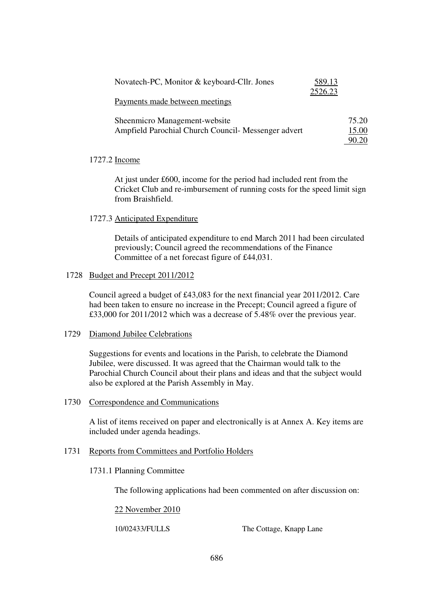| Novatech-PC, Monitor & keyboard-Cllr. Jones         | 589.13  |       |
|-----------------------------------------------------|---------|-------|
|                                                     | 2526.23 |       |
| Payments made between meetings                      |         |       |
|                                                     |         |       |
| Sheenmicro Management-website                       |         | 75.20 |
| Ampfield Parochial Church Council- Messenger advert |         | 15.00 |
|                                                     |         | 90.20 |

### 1727.2 Income

At just under £600, income for the period had included rent from the Cricket Club and re-imbursement of running costs for the speed limit sign from Braishfield.

#### 1727.3 Anticipated Expenditure

Details of anticipated expenditure to end March 2011 had been circulated previously; Council agreed the recommendations of the Finance Committee of a net forecast figure of £44,031.

#### 1728 Budget and Precept 2011/2012

Council agreed a budget of £43,083 for the next financial year 2011/2012. Care had been taken to ensure no increase in the Precept; Council agreed a figure of £33,000 for 2011/2012 which was a decrease of 5.48% over the previous year.

### 1729 Diamond Jubilee Celebrations

Suggestions for events and locations in the Parish, to celebrate the Diamond Jubilee, were discussed. It was agreed that the Chairman would talk to the Parochial Church Council about their plans and ideas and that the subject would also be explored at the Parish Assembly in May.

### 1730 Correspondence and Communications

A list of items received on paper and electronically is at Annex A. Key items are included under agenda headings.

## 1731 Reports from Committees and Portfolio Holders

#### 1731.1 Planning Committee

The following applications had been commented on after discussion on:

#### 22 November 2010

10/02433/FULLS The Cottage, Knapp Lane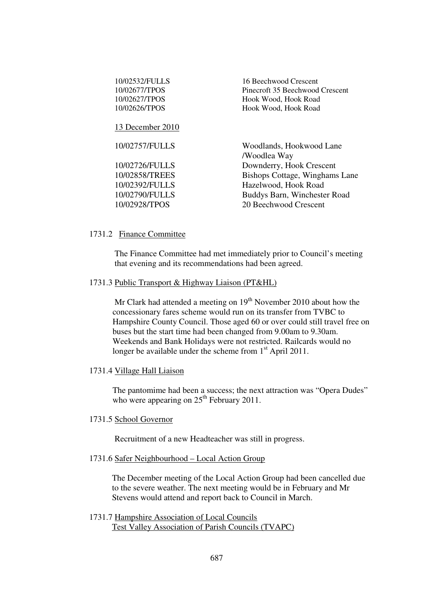| 10/02532/FULLS<br>10/02677/TPOS<br>10/02627/TPOS<br>10/02626/TPOS | 16 Beechwood Crescent<br>Pinecroft 35 Beechwood Crescent<br>Hook Wood, Hook Road<br>Hook Wood, Hook Road |
|-------------------------------------------------------------------|----------------------------------------------------------------------------------------------------------|
| 13 December 2010                                                  |                                                                                                          |
| 10/02757/FULLS                                                    | Woodlands, Hookwood Lane<br>/Woodlea Way                                                                 |
| 10/02726/FULLS                                                    | Downderry, Hook Crescent                                                                                 |
| 10/02858/TREES                                                    | Bishops Cottage, Winghams Lane                                                                           |
| 10/02392/FULLS                                                    | Hazelwood, Hook Road                                                                                     |
| 10/02790/FULLS                                                    | Buddys Barn, Winchester Road                                                                             |
| 10/02928/TPOS                                                     | 20 Beechwood Crescent                                                                                    |
|                                                                   |                                                                                                          |

#### 1731.2 Finance Committee

The Finance Committee had met immediately prior to Council's meeting that evening and its recommendations had been agreed.

#### 1731.3 Public Transport & Highway Liaison (PT&HL)

Mr Clark had attended a meeting on  $19<sup>th</sup>$  November 2010 about how the concessionary fares scheme would run on its transfer from TVBC to Hampshire County Council. Those aged 60 or over could still travel free on buses but the start time had been changed from 9.00am to 9.30am. Weekends and Bank Holidays were not restricted. Railcards would no longer be available under the scheme from  $1<sup>st</sup>$  April 2011.

## 1731.4 Village Hall Liaison

The pantomime had been a success; the next attraction was "Opera Dudes" who were appearing on  $25<sup>th</sup>$  February 2011.

## 1731.5 School Governor

Recruitment of a new Headteacher was still in progress.

## 1731.6 Safer Neighbourhood – Local Action Group

The December meeting of the Local Action Group had been cancelled due to the severe weather. The next meeting would be in February and Mr Stevens would attend and report back to Council in March.

1731.7 Hampshire Association of Local Councils Test Valley Association of Parish Councils (TVAPC)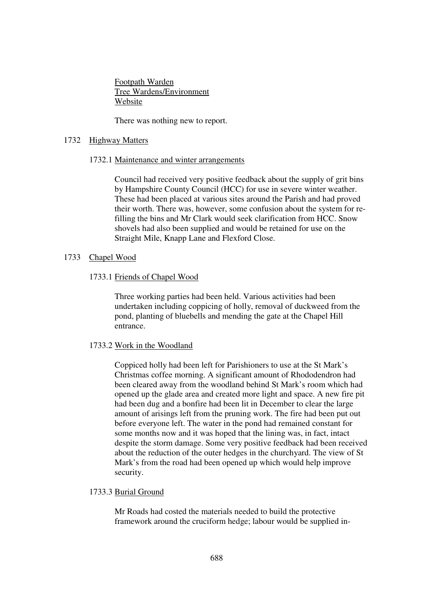Footpath Warden Tree Wardens/Environment Website

There was nothing new to report.

### 1732 Highway Matters

#### 1732.1 Maintenance and winter arrangements

Council had received very positive feedback about the supply of grit bins by Hampshire County Council (HCC) for use in severe winter weather. These had been placed at various sites around the Parish and had proved their worth. There was, however, some confusion about the system for refilling the bins and Mr Clark would seek clarification from HCC. Snow shovels had also been supplied and would be retained for use on the Straight Mile, Knapp Lane and Flexford Close.

## 1733 Chapel Wood

#### 1733.1 Friends of Chapel Wood

Three working parties had been held. Various activities had been undertaken including coppicing of holly, removal of duckweed from the pond, planting of bluebells and mending the gate at the Chapel Hill entrance.

### 1733.2 Work in the Woodland

Coppiced holly had been left for Parishioners to use at the St Mark's Christmas coffee morning. A significant amount of Rhododendron had been cleared away from the woodland behind St Mark's room which had opened up the glade area and created more light and space. A new fire pit had been dug and a bonfire had been lit in December to clear the large amount of arisings left from the pruning work. The fire had been put out before everyone left. The water in the pond had remained constant for some months now and it was hoped that the lining was, in fact, intact despite the storm damage. Some very positive feedback had been received about the reduction of the outer hedges in the churchyard. The view of St Mark's from the road had been opened up which would help improve security.

#### 1733.3 Burial Ground

Mr Roads had costed the materials needed to build the protective framework around the cruciform hedge; labour would be supplied in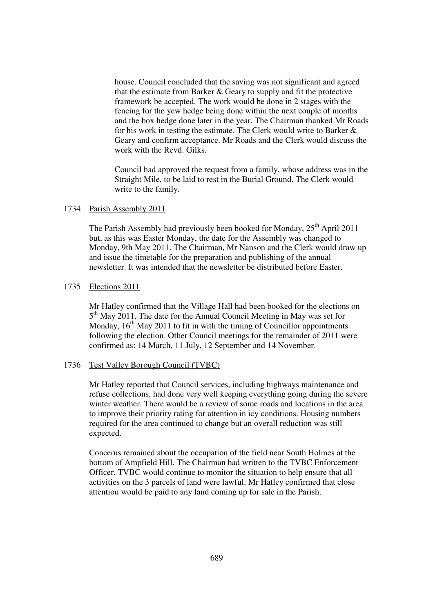house. Council concluded that the saving was not significant and agreed that the estimate from Barker & Geary to supply and fit the protective framework be accepted. The work would be done in 2 stages with the fencing for the yew hedge being done within the next couple of months and the box hedge done later in the year. The Chairman thanked Mr Roads for his work in testing the estimate. The Clerk would write to Barker & Geary and confirm acceptance. Mr Roads and the Clerk would discuss the work with the Revd. Gilks.

Council had approved the request from a family, whose address was in the Straight Mile, to be laid to rest in the Burial Ground. The Clerk would write to the family.

### 1734 Parish Assembly 2011

The Parish Assembly had previously been booked for Monday,  $25<sup>th</sup>$  April 2011 but, as this was Easter Monday, the date for the Assembly was changed to Monday, 9th May 2011. The Chairman, Mr Nanson and the Clerk would draw up and issue the timetable for the preparation and publishing of the annual newsletter. It was intended that the newsletter be distributed before Easter.

### 1735 Elections 2011

Mr Hatley confirmed that the Village Hall had been booked for the elections on 5<sup>th</sup> May 2011. The date for the Annual Council Meeting in May was set for Monday,  $16<sup>th</sup>$  May 2011 to fit in with the timing of Councillor appointments following the election. Other Council meetings for the remainder of 2011 were confirmed as: 14 March, 11 July, 12 September and 14 November.

#### 1736 Test Valley Borough Council (TVBC)

Mr Hatley reported that Council services, including highways maintenance and refuse collections, had done very well keeping everything going during the severe winter weather. There would be a review of some roads and locations in the area to improve their priority rating for attention in icy conditions. Housing numbers required for the area continued to change but an overall reduction was still expected.

Concerns remained about the occupation of the field near South Holmes at the bottom of Ampfield Hill. The Chairman had written to the TVBC Enforcement Officer. TVBC would continue to monitor the situation to help ensure that all activities on the 3 parcels of land were lawful. Mr Hatley confirmed that close attention would be paid to any land coming up for sale in the Parish.